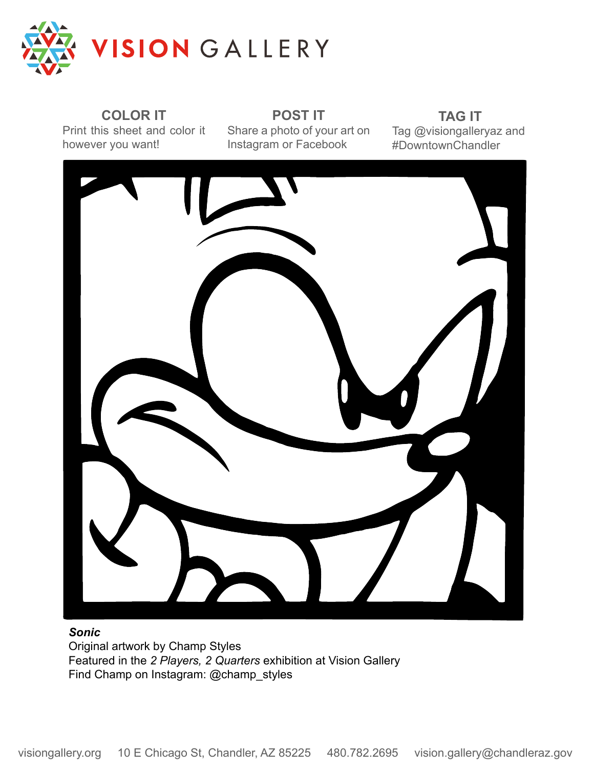

**COLOR IT** Print this sheet and color it however you want!

**POST IT** Share a photo of your art on Instagram or Facebook

**TAG IT** Tag @visiongalleryaz and #DowntownChandler



#### *Sonic*

Original artwork by Champ Styles Featured in the *2 Players, 2 Quarters* exhibition at Vision Gallery Find Champ on Instagram: @champ\_styles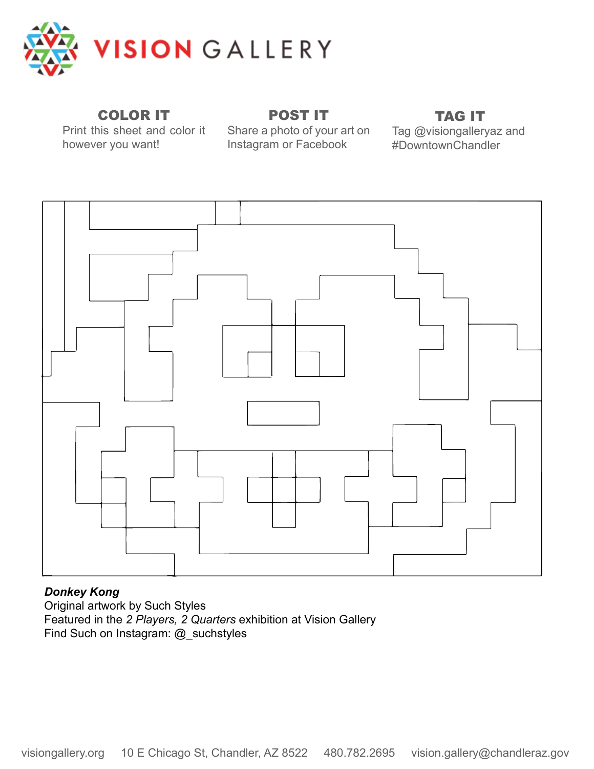

## COLOR IT

Print this sheet and color it however you want!

Share a photo of your art on Instagram or Facebook

POST IT

# TAG IT

Tag @visiongalleryaz and #DowntownChandler



### *Donkey Kong*

Original artwork by Such Styles Featured in the *2 Players, 2 Quarters* exhibition at Vision Gallery Find Such on Instagram: @\_suchstyles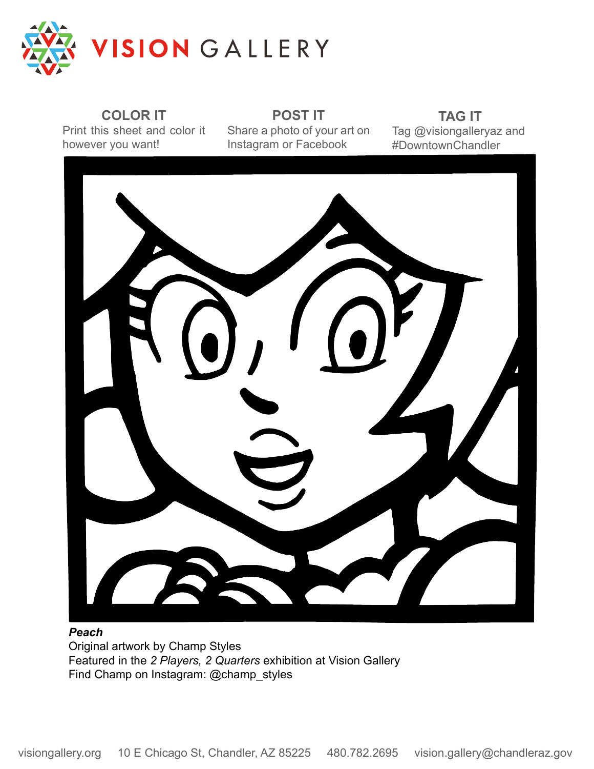

**COLOR IT** Print this sheet and color it however you want!

**POST IT** Share a photo of your art on Instagram or Facebook

**TAG IT** Tag @visiongalleryaz and #DowntownChandler



#### *Peach*

Original artwork by Champ Styles Featured in the *2 Players, 2 Quarters* exhibition at Vision Gallery Find Champ on Instagram: @champ\_styles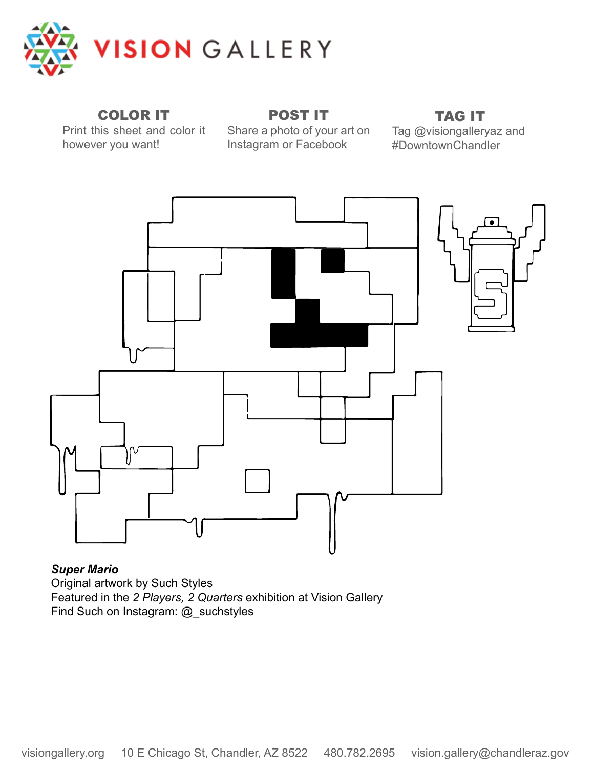

COLOR IT

Print this sheet and color it however you want!

POST IT Share a photo of your art on Instagram or Facebook

TAG IT

Tag @visiongalleryaz and #DowntownChandler



*Super Mario* Original artwork by Such Styles Featured in the *2 Players, 2 Quarters* exhibition at Vision Gallery Find Such on Instagram: @\_suchstyles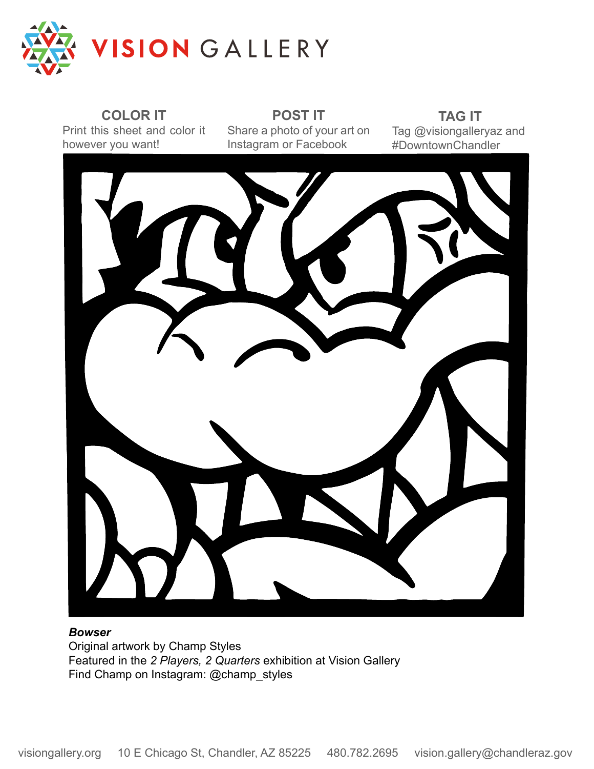

**COLOR IT** Print this sheet and color it however you want!

**POST IT** Share a photo of your art on Instagram or Facebook

**TAG IT** Tag @visiongalleryaz and #DowntownChandler



#### *Bowser*

Original artwork by Champ Styles Featured in the *2 Players, 2 Quarters* exhibition at Vision Gallery Find Champ on Instagram: @champ\_styles